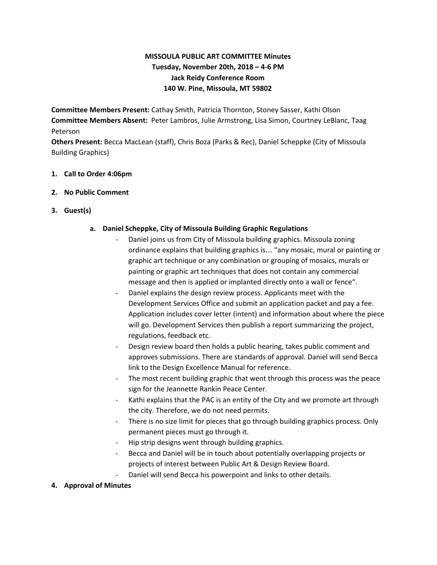# **MISSOULA PUBLIC ART COMMITTEE Minutes Tuesday, November 20th, 2018 – 4-6 PM Jack Reidy Conference Room 140 W. Pine, Missoula, MT 59802**

**Committee Members Present:** Cathay Smith, Patricia Thornton, Stoney Sasser, Kathi Olson **Committee Members Absent:** Peter Lambros, Julie Armstrong, Lisa Simon, Courtney LeBlanc, Taag Peterson

**Others Present:** Becca MacLean (staff), Chris Boza (Parks & Rec), Daniel Scheppke (City of Missoula Building Graphics)

### **1. Call to Order 4:06pm**

### **2. No Public Comment**

**3. Guest(s)**

### **a. Daniel Scheppke, City of Missoula Building Graphic Regulations**

- Daniel joins us from City of Missoula building graphics. Missoula zoning ordinance explains that building graphics is… "any mosaic, mural or painting or graphic art technique or any combination or grouping of mosaics, murals or painting or graphic art techniques that does not contain any commercial message and then is applied or implanted directly onto a wall or fence".
- Daniel explains the design review process. Applicants meet with the Development Services Office and submit an application packet and pay a fee. Application includes cover letter (intent) and information about where the piece will go. Development Services then publish a report summarizing the project, regulations, feedback etc.
- Design review board then holds a public hearing, takes public comment and approves submissions. There are standards of approval. Daniel will send Becca link to the Design Excellence Manual for reference.
- The most recent building graphic that went through this process was the peace sign for the Jeannette Rankin Peace Center.
- Kathi explains that the PAC is an entity of the City and we promote art through the city. Therefore, we do not need permits.
- There is no size limit for pieces that go through building graphics process. Only permanent pieces must go through it.
- Hip strip designs went through building graphics.
- Becca and Daniel will be in touch about potentially overlapping projects or projects of interest between Public Art & Design Review Board.
- Daniel will send Becca his powerpoint and links to other details.
- **4. Approval of Minutes**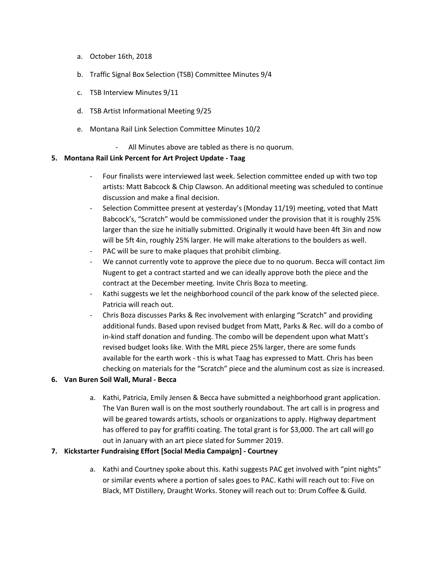- a. October 16th, 2018
- b. Traffic Signal Box Selection (TSB) Committee Minutes 9/4
- c. TSB Interview Minutes 9/11
- d. TSB Artist Informational Meeting 9/25
- e. Montana Rail Link Selection Committee Minutes 10/2
	- All Minutes above are tabled as there is no quorum.

#### **5. Montana Rail Link Percent for Art Project Update - Taag**

- Four finalists were interviewed last week. Selection committee ended up with two top artists: Matt Babcock & Chip Clawson. An additional meeting was scheduled to continue discussion and make a final decision.
- Selection Committee present at yesterday's (Monday 11/19) meeting, voted that Matt Babcock's, "Scratch" would be commissioned under the provision that it is roughly 25% larger than the size he initially submitted. Originally it would have been 4ft 3in and now will be 5ft 4in, roughly 25% larger. He will make alterations to the boulders as well.
- PAC will be sure to make plaques that prohibit climbing.
- We cannot currently vote to approve the piece due to no quorum. Becca will contact Jim Nugent to get a contract started and we can ideally approve both the piece and the contract at the December meeting. Invite Chris Boza to meeting.
- Kathi suggests we let the neighborhood council of the park know of the selected piece. Patricia will reach out.
- Chris Boza discusses Parks & Rec involvement with enlarging "Scratch" and providing additional funds. Based upon revised budget from Matt, Parks & Rec. will do a combo of in-kind staff donation and funding. The combo will be dependent upon what Matt's revised budget looks like. With the MRL piece 25% larger, there are some funds available for the earth work - this is what Taag has expressed to Matt. Chris has been checking on materials for the "Scratch" piece and the aluminum cost as size is increased.

### **6. Van Buren Soil Wall, Mural - Becca**

a. Kathi, Patricia, Emily Jensen & Becca have submitted a neighborhood grant application. The Van Buren wall is on the most southerly roundabout. The art call is in progress and will be geared towards artists, schools or organizations to apply. Highway department has offered to pay for graffiti coating. The total grant is for \$3,000. The art call will go out in January with an art piece slated for Summer 2019.

### **7. Kickstarter Fundraising Effort [Social Media Campaign] - Courtney**

a. Kathi and Courtney spoke about this. Kathi suggests PAC get involved with "pint nights" or similar events where a portion of sales goes to PAC. Kathi will reach out to: Five on Black, MT Distillery, Draught Works. Stoney will reach out to: Drum Coffee & Guild.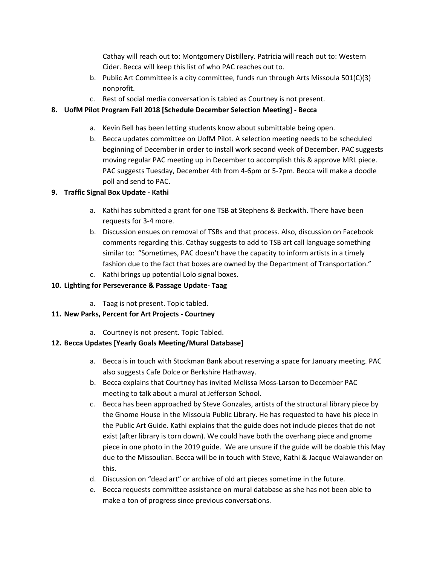Cathay will reach out to: Montgomery Distillery. Patricia will reach out to: Western Cider. Becca will keep this list of who PAC reaches out to.

- b. Public Art Committee is a city committee, funds run through Arts Missoula 501(C)(3) nonprofit.
- c. Rest of social media conversation is tabled as Courtney is not present.

## **8. UofM Pilot Program Fall 2018 [Schedule December Selection Meeting] - Becca**

- a. Kevin Bell has been letting students know about submittable being open.
- b. Becca updates committee on UofM Pilot. A selection meeting needs to be scheduled beginning of December in order to install work second week of December. PAC suggests moving regular PAC meeting up in December to accomplish this & approve MRL piece. PAC suggests Tuesday, December 4th from 4-6pm or 5-7pm. Becca will make a doodle poll and send to PAC.

## **9. Traffic Signal Box Update - Kathi**

- a. Kathi has submitted a grant for one TSB at Stephens & Beckwith. There have been requests for 3-4 more.
- b. Discussion ensues on removal of TSBs and that process. Also, discussion on Facebook comments regarding this. Cathay suggests to add to TSB art call language something similar to: "Sometimes, PAC doesn't have the capacity to inform artists in a timely fashion due to the fact that boxes are owned by the Department of Transportation."
- c. Kathi brings up potential Lolo signal boxes.

## **10. Lighting for Perseverance & Passage Update- Taag**

a. Taag is not present. Topic tabled.

# **11. New Parks, Percent for Art Projects - Courtney**

a. Courtney is not present. Topic Tabled.

## **12. Becca Updates [Yearly Goals Meeting/Mural Database]**

- a. Becca is in touch with Stockman Bank about reserving a space for January meeting. PAC also suggests Cafe Dolce or Berkshire Hathaway.
- b. Becca explains that Courtney has invited Melissa Moss-Larson to December PAC meeting to talk about a mural at Jefferson School.
- c. Becca has been approached by Steve Gonzales, artists of the structural library piece by the Gnome House in the Missoula Public Library. He has requested to have his piece in the Public Art Guide. Kathi explains that the guide does not include pieces that do not exist (after library is torn down). We could have both the overhang piece and gnome piece in one photo in the 2019 guide. We are unsure if the guide will be doable this May due to the Missoulian. Becca will be in touch with Steve, Kathi & Jacque Walawander on this.
- d. Discussion on "dead art" or archive of old art pieces sometime in the future.
- e. Becca requests committee assistance on mural database as she has not been able to make a ton of progress since previous conversations.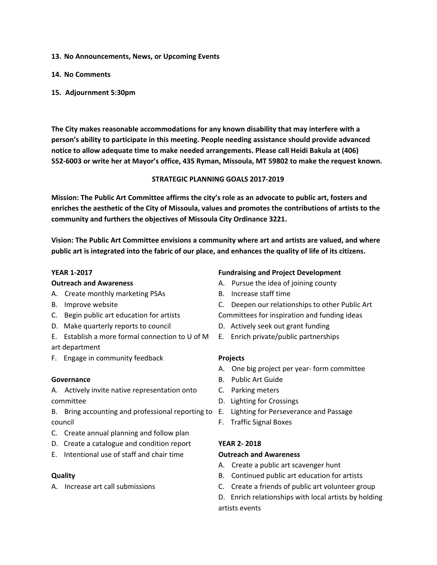- **13. No Announcements, News, or Upcoming Events**
- **14. No Comments**
- **15. Adjournment 5:30pm**

**The City makes reasonable accommodations for any known disability that may interfere with a person's ability to participate in this meeting. People needing assistance should provide advanced notice to allow adequate time to make needed arrangements. Please call Heidi Bakula at (406) 552-6003 or write her at Mayor's office, 435 Ryman, Missoula, MT 59802 to make the request known.**

#### **STRATEGIC PLANNING GOALS 2017-2019**

**Mission: The Public Art Committee affirms the city's role as an advocate to public art, fosters and enriches the aesthetic of the City of Missoula, values and promotes the contributions of artists to the community and furthers the objectives of Missoula City Ordinance 3221.**

**Vision: The Public Art Committee envisions a community where art and artists are valued, and where** public art is integrated into the fabric of our place, and enhances the quality of life of its citizens.

#### **YEAR 1-2017**

#### **Outreach and Awareness**

- A. Create monthly marketing PSAs
- B. Improve website
- C. Begin public art education for artists
- D. Make quarterly reports to council
- E. Establish a more formal connection to U of M art department
- F. Engage in community feedback

#### **Governance**

A. Actively invite native representation onto committee

- B. Bring accounting and professional reporting to E. Lighting for Perseverance and Passage council
- C. Create annual planning and follow plan
- D. Create a catalogue and condition report
- E. Intentional use of staff and chair time

#### **Quality**

A. Increase art call submissions

#### **Fundraising and Project Development**

- A. Pursue the idea of joining county
- B. Increase staff time
- C. Deepen our relationships to other Public Art
- Committees for inspiration and funding ideas
- D. Actively seek out grant funding
- E. Enrich private/public partnerships

#### **Projects**

- A. One big project per year- form committee
- B. Public Art Guide
- C. Parking meters
- D. Lighting for Crossings
- 
- F. Traffic Signal Boxes

#### **YEAR 2- 2018**

#### **Outreach and Awareness**

- A. Create a public art scavenger hunt
- B. Continued public art education for artists
- C. Create a friends of public art volunteer group

D. Enrich relationships with local artists by holding artists events